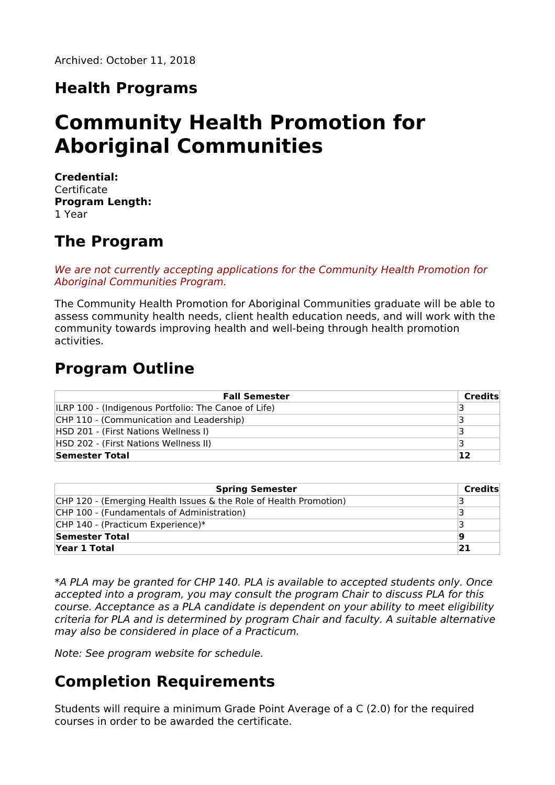## **Health Programs**

# **Community Health Promotion for Aboriginal Communities**

**Credential: Certificate Program Length:** 1 Year

### **The Program**

We are not currently accepting applications for the Community Health Promotion for Aboriginal Communities Program.

The Community Health Promotion for Aboriginal Communities graduate will be able to assess community health needs, client health education needs, and will work with the community towards improving health and well-being through health promotion activities.

### **Program Outline**

| <b>Fall Semester</b>                                 | Credits |
|------------------------------------------------------|---------|
| ILRP 100 - (Indigenous Portfolio: The Canoe of Life) |         |
| CHP 110 - (Communication and Leadership)             |         |
| HSD 201 - (First Nations Wellness I)                 |         |
| HSD 202 - (First Nations Wellness II)                |         |
| Semester Total                                       | 12      |

| <b>Spring Semester</b>                                            | Credits |
|-------------------------------------------------------------------|---------|
| CHP 120 - (Emerging Health Issues & the Role of Health Promotion) |         |
| CHP 100 - (Fundamentals of Administration)                        |         |
| CHP 140 - (Practicum Experience)*                                 |         |
| Semester Total                                                    | 19      |
| Year 1 Total                                                      | 21      |

\*A PLA may be granted for CHP 140. PLA is available to accepted students only. Once accepted into a program, you may consult the program Chair to discuss PLA for this course. Acceptance as a PLA candidate is dependent on your ability to meet eligibility criteria for PLA and is determined by program Chair and faculty. A suitable alternative may also be considered in place of a Practicum.

Note: See program website for schedule.

# **Completion Requirements**

Students will require a minimum Grade Point Average of a C (2.0) for the required courses in order to be awarded the certificate.